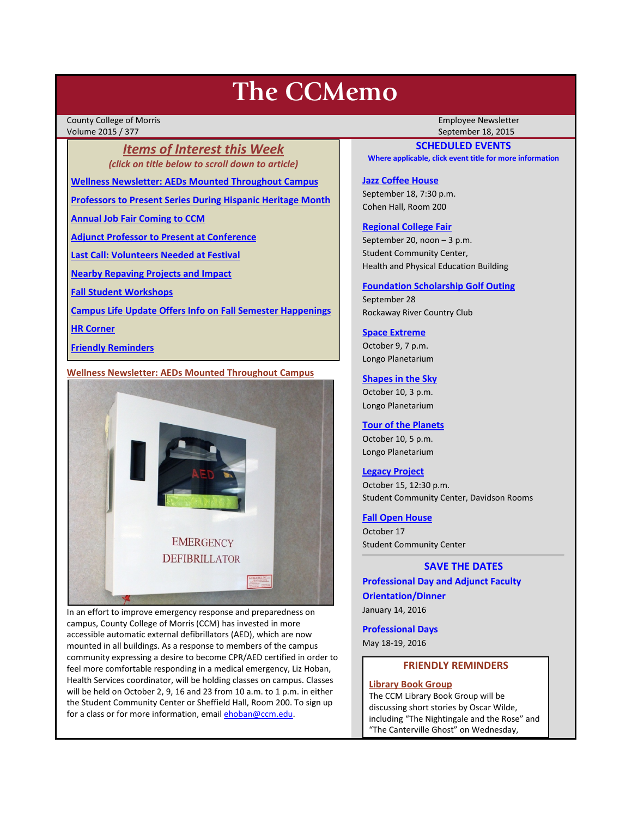# **The CCMemo**

County College of Morris Employee Newsletter Volume 2015 / 377 September 18, 2015

*Items of Interest this Week (click on title below to scroll down to article)*

**[Wellness Newsletter: AEDs Mounted Throughout Campus](#page-0-0)**

**[Professors to Present Series During Hispanic Heritage Month](#page-1-0)**

**[Annual Job Fair Coming to CCM](#page-1-1)**

**[Adjunct Professor to Present at Conference](#page-1-2)**

**[Last Call: Volunteers Needed at Festival](#page-1-3)**

**[Nearby Repaving Projects and Impact](#page-2-0)**

**[Fall Student Workshops](#page-2-1)**

**[Campus Life Update Offers Info on Fall Semester Happenings](#page-2-2)**

**[HR Corner](#page-2-3)**

**[Friendly Reminders](#page-0-1)**

# <span id="page-0-0"></span>**Wellness Newsletter: AEDs Mounted Throughout Campus**



In an effort to improve emergency response and preparedness on campus, County College of Morris (CCM) has invested in more accessible automatic external defibrillators (AED), which are now mounted in all buildings. As a response to members of the campus community expressing a desire to become CPR/AED certified in order to feel more comfortable responding in a medical emergency, Liz Hoban, Health Services coordinator, will be holding classes on campus. Classes will be held on October 2, 9, 16 and 23 from 10 a.m. to 1 p.m. in either the Student Community Center or Sheffield Hall, Room 200. To sign up for a class or for more information, emai[l ehoban@ccm.edu.](mailto:ehoban@ccm.edu)

# **SCHEDULED EVENTS**

**Where applicable, click event title for more information**

# **[Jazz Coffee House](http://www.ccm.edu/newsEvents/eventDetails.aspx?Channel=/Channels/Sitewide&WorkflowItemID=9afb1e8b-8b13-489e-a342-ccf5373b74fd)**

September 18, 7:30 p.m. Cohen Hall, Room 200

# **[Regional College Fair](http://www.ccm.edu/newsEvents/newsDetails.aspx?Channel=%2fChannels%2fSitewide&WorkflowItemID=ba120a01-4758-4939-bada-0cb5f29c9536)**

September 20, noon – 3 p.m. Student Community Center, Health and Physical Education Building

#### **[Foundation Scholarship Golf Outing](http://www.ccm.edu/pdf/GolfInvite15Email_internal.pdf)**

September 28 Rockaway River Country Club

# **[Space Extreme](http://www.ccm.edu/newsEvents/eventDetails.aspx?Channel=/Channels/Sitewide&WorkflowItemID=1874a4b0-0bcb-4ed1-a29e-7b4f8d25e45d)**

October 9, 7 p.m. Longo Planetarium

## **[Shapes in the Sky](http://www.ccm.edu/newsEvents/eventDetails.aspx?Channel=/Channels/Sitewide&WorkflowItemID=1922c928-86d3-4e75-b6a2-fd618033989c)**

October 10, 3 p.m. Longo Planetarium

# **[Tour of the Planets](http://www.ccm.edu/newsEvents/eventDetails.aspx?Channel=/Channels/Sitewide&WorkflowItemID=5834aa20-68ba-4fa2-a3ac-75b2311ba441)**

October 10, 5 p.m. Longo Planetarium

## **[Legacy Project](http://www.ccm.edu/newsEvents/newsDetails.aspx?Channel=%2fChannels%2fSitewide&WorkflowItemID=5bd94e22-efe8-4288-bb43-aa5783b26c61)**

October 15, 12:30 p.m. Student Community Center, Davidson Rooms

## **[Fall Open House](http://www.ccm.edu/newsEvents/newsDetails.aspx?Channel=%2fChannels%2fSitewide&WorkflowItemID=a1cea02d-b22e-4024-86b7-ce41a9677b56)**

October 17 Student Community Center

### **SAVE THE DATES**

**Professional Day and Adjunct Faculty Orientation/Dinner** January 14, 2016

**Professional Days** May 18-19, 2016

# **FRIENDLY REMINDERS**

## <span id="page-0-1"></span>**Library Book Group**

The CCM Library Book Group will be discussing short stories by Oscar Wilde, including "The Nightingale and the Rose" and "The Canterville Ghost" on Wednesday,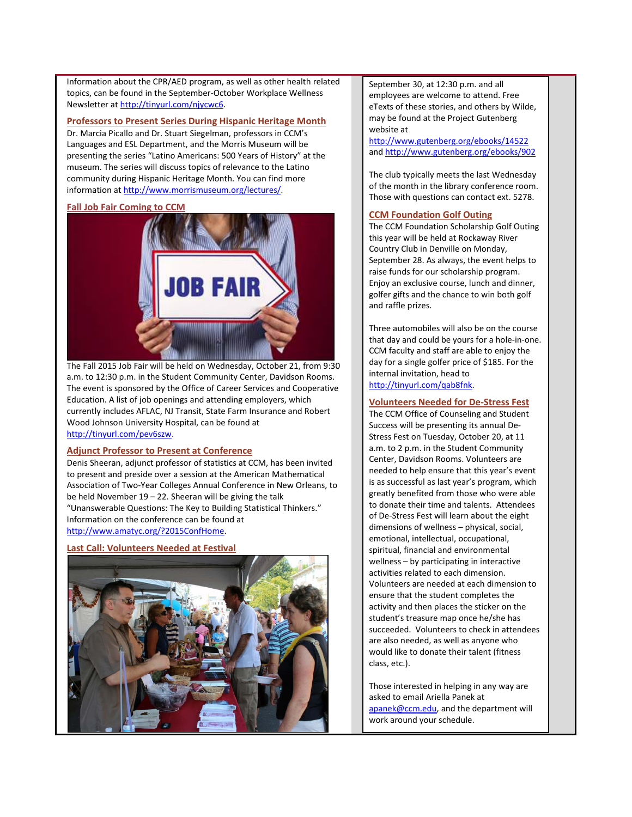Information about the CPR/AED program, as well as other health related topics, can be found in the September-October Workplace Wellness Newsletter a[t http://tinyurl.com/njycwc6.](http://tinyurl.com/njycwc6) 

<span id="page-1-0"></span>**Professors to Present Series During Hispanic Heritage Month**

Dr. Marcia Picallo and Dr. Stuart Siegelman, professors in CCM's Languages and ESL Department, and the Morris Museum will be presenting the series "Latino Americans: 500 Years of History" at the museum. The series will discuss topics of relevance to the Latino community during Hispanic Heritage Month. You can find more information a[t http://www.morrismuseum.org/lectures/.](http://www.morrismuseum.org/lectures/)

## <span id="page-1-1"></span>**Fall Job Fair Coming to CCM**



The Fall 2015 Job Fair will be held on Wednesday, October 21, from 9:30 a.m. to 12:30 p.m. in the Student Community Center, Davidson Rooms. The event is sponsored by the Office of Career Services and Cooperative Education. A list of job openings and attending employers, which currently includes AFLAC, NJ Transit, State Farm Insurance and Robert Wood Johnson University Hospital, can be found at [http://tinyurl.com/pev6szw.](http://tinyurl.com/pev6szw)

## <span id="page-1-2"></span>**Adjunct Professor to Present at Conference**

Denis Sheeran, adjunct professor of statistics at CCM, has been invited to present and preside over a session at the American Mathematical Association of Two-Year Colleges Annual Conference in New Orleans, to be held November 19 – 22. Sheeran will be giving the talk "Unanswerable Questions: The Key to Building Statistical Thinkers." Information on the conference can be found at [http://www.amatyc.org/?2015ConfHome.](http://www.amatyc.org/?2015ConfHome) 

### <span id="page-1-3"></span>**Last Call: Volunteers Needed at Festival**



September 30, at 12:30 p.m. and all employees are welcome to attend. Free eTexts of these stories, and others by Wilde, may be found at the Project Gutenberg website at

<http://www.gutenberg.org/ebooks/14522> an[d http://www.gutenberg.org/ebooks/902](http://www.gutenberg.org/ebooks/902)

The club typically meets the last Wednesday of the month in the library conference room. Those with questions can contact ext. 5278.

### **CCM Foundation Golf Outing**

The CCM Foundation Scholarship Golf Outing this year will be held at Rockaway River Country Club in Denville on Monday, September 28. As always, the event helps to raise funds for our scholarship program. Enjoy an exclusive course, lunch and dinner, golfer gifts and the chance to win both golf and raffle prizes.

Three automobiles will also be on the course that day and could be yours for a hole-in-one. CCM faculty and staff are able to enjoy the day for a single golfer price of \$185. For the internal invitation, head to [http://tinyurl.com/qab8fnk.](http://tinyurl.com/qab8fnk)

## **Volunteers Needed for De-Stress Fest**

The CCM Office of Counseling and Student Success will be presenting its annual De-Stress Fest on Tuesday, October 20, at 11 a.m. to 2 p.m. in the Student Community Center, Davidson Rooms. Volunteers are needed to help ensure that this year's event is as successful as last year's program, which greatly benefited from those who were able to donate their time and talents. Attendees of De-Stress Fest will learn about the eight dimensions of wellness – physical, social, emotional, intellectual, occupational, spiritual, financial and environmental wellness – by participating in interactive activities related to each dimension. Volunteers are needed at each dimension to ensure that the student completes the activity and then places the sticker on the student's treasure map once he/she has succeeded. Volunteers to check in attendees are also needed, as well as anyone who would like to donate their talent (fitness class, etc.).

Those interested in helping in any way are asked to email Ariella Panek at [apanek@ccm.edu,](mailto:apanek@ccm.edu) and the department will work around your schedule.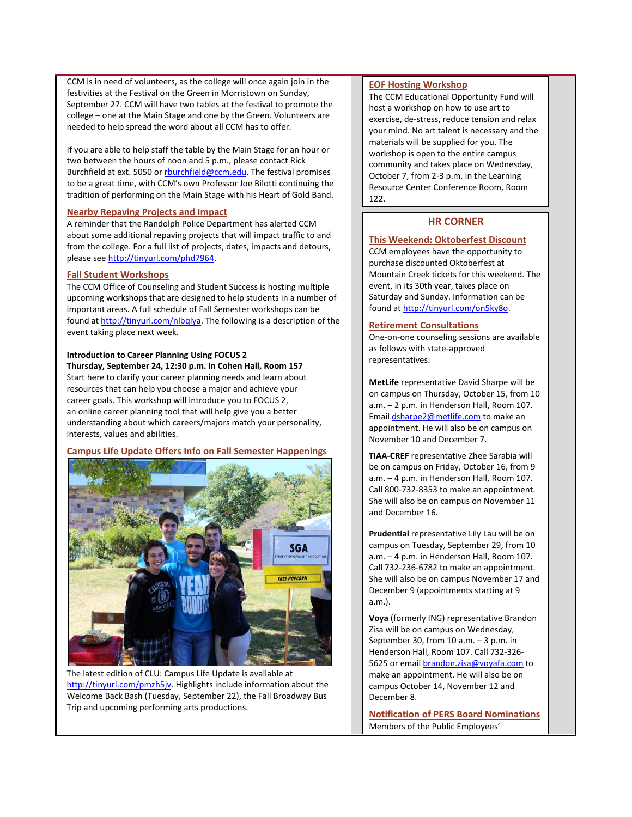CCM is in need of volunteers, as the college will once again join in the festivities at the Festival on the Green in Morristown on Sunday, September 27. CCM will have two tables at the festival to promote the college – one at the Main Stage and one by the Green. Volunteers are needed to help spread the word about all CCM has to offer.

If you are able to help staff the table by the Main Stage for an hour or two between the hours of noon and 5 p.m., please contact Rick Burchfield at ext. 5050 o[r rburchfield@ccm.edu.](mailto:rburchfield@ccm.edu) The festival promises to be a great time, with CCM's own Professor Joe Bilotti continuing the tradition of performing on the Main Stage with his Heart of Gold Band.

#### <span id="page-2-0"></span>**Nearby Repaving Projects and Impact**

A reminder that the Randolph Police Department has alerted CCM about some additional repaving projects that will impact traffic to and from the college. For a full list of projects, dates, impacts and detours, please see [http://tinyurl.com/phd7964.](http://tinyurl.com/phd7964)

# <span id="page-2-1"></span>**Fall Student Workshops**

The CCM Office of Counseling and Student Success is hosting multiple upcoming workshops that are designed to help students in a number of important areas. A full schedule of Fall Semester workshops can be found at [http://tinyurl.com/nlbqlya.](http://tinyurl.com/nlbqlya) The following is a description of the event taking place next week.

#### **Introduction to Career Planning Using FOCUS 2 Thursday, September 24, 12:30 p.m. in Cohen Hall, Room 157**

Start here to clarify your career planning needs and learn about resources that can help you choose a major and achieve your career goals. This workshop will introduce you to FOCUS 2, an online career planning tool that will help give you a better understanding about which careers/majors match your personality, interests, values and abilities.

### <span id="page-2-2"></span>**Campus Life Update Offers Info on Fall Semester Happenings**



The latest edition of CLU: Campus Life Update is available at [http://tinyurl.com/pmzh5jv.](http://tinyurl.com/pmzh5jv) Highlights include information about the Welcome Back Bash (Tuesday, September 22), the Fall Broadway Bus Trip and upcoming performing arts productions.

## **EOF Hosting Workshop**

The CCM Educational Opportunity Fund will host a workshop on how to use art to exercise, de-stress, reduce tension and relax your mind. No art talent is necessary and the materials will be supplied for you. The workshop is open to the entire campus community and takes place on Wednesday, October 7, from 2-3 p.m. in the Learning Resource Center Conference Room, Room 122.

# **HR CORNER**

### <span id="page-2-3"></span>**This Weekend: Oktoberfest Discount**

CCM employees have the opportunity to purchase discounted Oktoberfest at Mountain Creek tickets for this weekend. The event, in its 30th year, takes place on Saturday and Sunday. Information can be found a[t http://tinyurl.com/on5ky8o.](http://tinyurl.com/on5ky8o)

### **Retirement Consultations**

One-on-one counseling sessions are available as follows with state-approved representatives:

**MetLife** representative David Sharpe will be on campus on Thursday, October 15, from 10 a.m. – 2 p.m. in Henderson Hall, Room 107. Emai[l dsharpe2@metlife.com](mailto:dsharpe2@metlife.com) to make an appointment. He will also be on campus on November 10 and December 7.

**TIAA-CREF** representative Zhee Sarabia will be on campus on Friday, October 16, from 9 a.m. – 4 p.m. in Henderson Hall, Room 107. Call 800-732-8353 to make an appointment. She will also be on campus on November 11 and December 16.

**Prudential** representative Lily Lau will be on campus on Tuesday, September 29, from 10 a.m. – 4 p.m. in Henderson Hall, Room 107. Call 732-236-6782 to make an appointment. She will also be on campus November 17 and December 9 (appointments starting at 9 a.m.).

**Voya** (formerly ING) representative Brandon Zisa will be on campus on Wednesday, September 30, from 10 a.m. – 3 p.m. in Henderson Hall, Room 107. Call 732-326 5625 or email [brandon.zisa@voyafa.com](mailto:brandon.zisa@voyafa.com) to make an appointment. He will also be on campus October 14, November 12 and December 8.

**Notification of PERS Board Nominations** Members of the Public Employees'